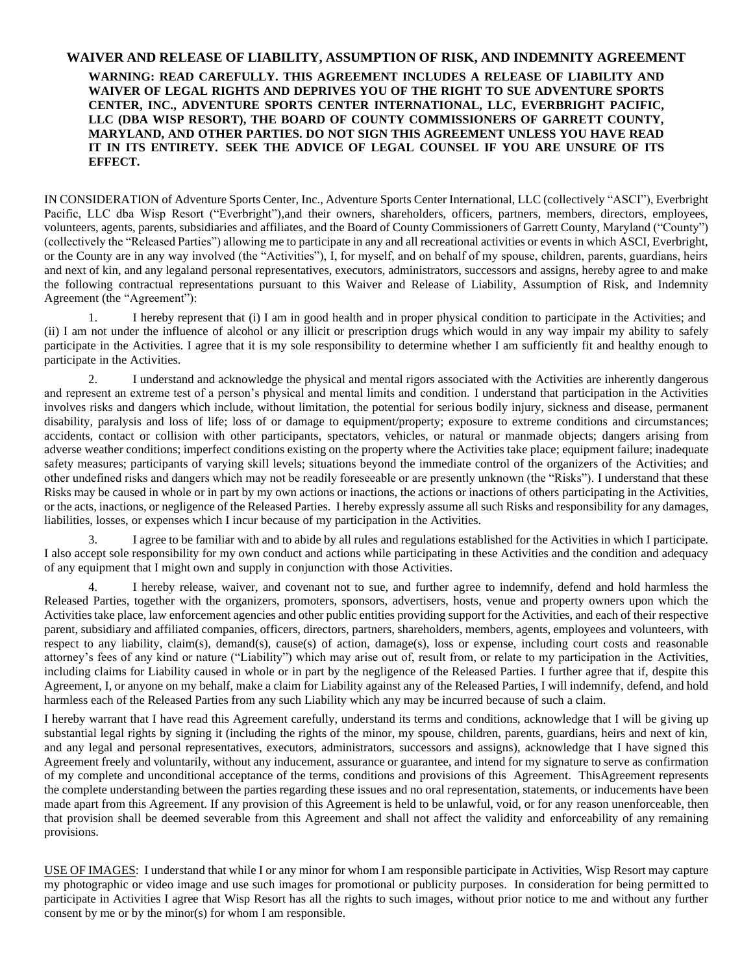## **WAIVER AND RELEASE OF LIABILITY, ASSUMPTION OF RISK, AND INDEMNITY AGREEMENT WARNING: READ CAREFULLY. THIS AGREEMENT INCLUDES A RELEASE OF LIABILITY AND WAIVER OF LEGAL RIGHTS AND DEPRIVES YOU OF THE RIGHT TO SUE ADVENTURE SPORTS CENTER, INC., ADVENTURE SPORTS CENTER INTERNATIONAL, LLC, EVERBRIGHT PACIFIC, LLC (DBA WISP RESORT), THE BOARD OF COUNTY COMMISSIONERS OF GARRETT COUNTY, MARYLAND, AND OTHER PARTIES. DO NOT SIGN THIS AGREEMENT UNLESS YOU HAVE READ IT IN ITS ENTIRETY. SEEK THE ADVICE OF LEGAL COUNSEL IF YOU ARE UNSURE OF ITS EFFECT.**

IN CONSIDERATION of Adventure Sports Center, Inc., Adventure Sports Center International, LLC (collectively "ASCI"), Everbright Pacific, LLC dba Wisp Resort ("Everbright"),and their owners, shareholders, officers, partners, members, directors, employees, volunteers, agents, parents, subsidiaries and affiliates, and the Board of County Commissioners of Garrett County, Maryland ("County") (collectively the "Released Parties") allowing me to participate in any and all recreational activities or events in which ASCI, Everbright, or the County are in any way involved (the "Activities"), I, for myself, and on behalf of my spouse, children, parents, guardians, heirs and next of kin, and any legaland personal representatives, executors, administrators, successors and assigns, hereby agree to and make the following contractual representations pursuant to this Waiver and Release of Liability, Assumption of Risk, and Indemnity Agreement (the "Agreement"):

1. I hereby represent that (i) I am in good health and in proper physical condition to participate in the Activities; and (ii) I am not under the influence of alcohol or any illicit or prescription drugs which would in any way impair my ability to safely participate in the Activities. I agree that it is my sole responsibility to determine whether I am sufficiently fit and healthy enough to participate in the Activities.

2. I understand and acknowledge the physical and mental rigors associated with the Activities are inherently dangerous and represent an extreme test of a person's physical and mental limits and condition. I understand that participation in the Activities involves risks and dangers which include, without limitation, the potential for serious bodily injury, sickness and disease, permanent disability, paralysis and loss of life; loss of or damage to equipment/property; exposure to extreme conditions and circumstances; accidents, contact or collision with other participants, spectators, vehicles, or natural or manmade objects; dangers arising from adverse weather conditions; imperfect conditions existing on the property where the Activities take place; equipment failure; inadequate safety measures; participants of varying skill levels; situations beyond the immediate control of the organizers of the Activities; and other undefined risks and dangers which may not be readily foreseeable or are presently unknown (the "Risks"). I understand that these Risks may be caused in whole or in part by my own actions or inactions, the actions or inactions of others participating in the Activities, or the acts, inactions, or negligence of the Released Parties. I hereby expressly assume all such Risks and responsibility for any damages, liabilities, losses, or expenses which I incur because of my participation in the Activities.

3. I agree to be familiar with and to abide by all rules and regulations established for the Activities in which I participate. I also accept sole responsibility for my own conduct and actions while participating in these Activities and the condition and adequacy of any equipment that I might own and supply in conjunction with those Activities.

4. I hereby release, waiver, and covenant not to sue, and further agree to indemnify, defend and hold harmless the Released Parties, together with the organizers, promoters, sponsors, advertisers, hosts, venue and property owners upon which the Activities take place, law enforcement agencies and other public entities providing support for the Activities, and each of their respective parent, subsidiary and affiliated companies, officers, directors, partners, shareholders, members, agents, employees and volunteers, with respect to any liability, claim(s), demand(s), cause(s) of action, damage(s), loss or expense, including court costs and reasonable attorney's fees of any kind or nature ("Liability") which may arise out of, result from, or relate to my participation in the Activities, including claims for Liability caused in whole or in part by the negligence of the Released Parties. I further agree that if, despite this Agreement, I, or anyone on my behalf, make a claim for Liability against any of the Released Parties, I will indemnify, defend, and hold harmless each of the Released Parties from any such Liability which any may be incurred because of such a claim.

I hereby warrant that I have read this Agreement carefully, understand its terms and conditions, acknowledge that I will be giving up substantial legal rights by signing it (including the rights of the minor, my spouse, children, parents, guardians, heirs and next of kin, and any legal and personal representatives, executors, administrators, successors and assigns), acknowledge that I have signed this Agreement freely and voluntarily, without any inducement, assurance or guarantee, and intend for my signature to serve as confirmation of my complete and unconditional acceptance of the terms, conditions and provisions of this Agreement. ThisAgreement represents the complete understanding between the parties regarding these issues and no oral representation, statements, or inducements have been made apart from this Agreement. If any provision of this Agreement is held to be unlawful, void, or for any reason unenforceable, then that provision shall be deemed severable from this Agreement and shall not affect the validity and enforceability of any remaining provisions.

USE OF IMAGES: I understand that while I or any minor for whom I am responsible participate in Activities, Wisp Resort may capture my photographic or video image and use such images for promotional or publicity purposes. In consideration for being permitted to participate in Activities I agree that Wisp Resort has all the rights to such images, without prior notice to me and without any further consent by me or by the minor(s) for whom I am responsible.